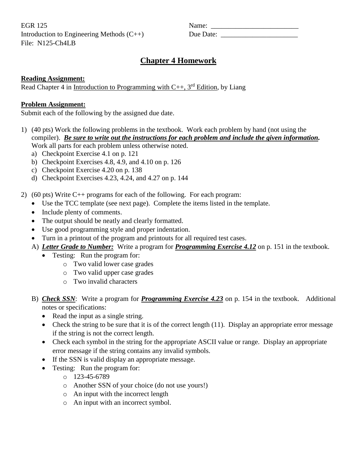EGR 125 Name: \_\_\_\_\_\_\_\_\_\_\_\_\_\_\_\_\_\_\_\_\_\_\_\_\_ Introduction to Engineering Methods  $(C++)$ File: N125-Ch4LB

| Name:     |  |
|-----------|--|
| Due Date: |  |

## **Chapter 4 Homework**

## **Reading Assignment:**

Read Chapter 4 in Introduction to Programming with  $C_{++}$ , 3<sup>rd</sup> Edition, by Liang

## **Problem Assignment:**

Submit each of the following by the assigned due date.

- 1) (40 pts) Work the following problems in the textbook. Work each problem by hand (not using the compiler). *Be sure to write out the instructions for each problem and include the given information.* Work all parts for each problem unless otherwise noted.
	- a) Checkpoint Exercise 4.1 on p. 121
	- b) Checkpoint Exercises 4.8, 4.9, and 4.10 on p. 126
	- c) Checkpoint Exercise 4.20 on p. 138
	- d) Checkpoint Exercises 4.23, 4.24, and 4.27 on p. 144

2) (60 pts) Write  $C_{++}$  programs for each of the following. For each program:

- Use the TCC template (see next page). Complete the items listed in the template.
- Include plenty of comments.
- The output should be neatly and clearly formatted.
- Use good programming style and proper indentation.
- Turn in a printout of the program and printouts for all required test cases.
- A) *Letter Grade to Number:* Write a program for *Programming Exercise 4.12* on p. 151 in the textbook.
	- Testing: Run the program for:
		- o Two valid lower case grades
		- o Two valid upper case grades
		- o Two invalid characters
- B) *Check SSN*: Write a program for *Programming Exercise 4.23* on p. 154 in the textbook. Additional notes or specifications:
	- Read the input as a single string.
	- Check the string to be sure that it is of the correct length (11). Display an appropriate error message if the string is not the correct length.
	- Check each symbol in the string for the appropriate ASCII value or range. Display an appropriate error message if the string contains any invalid symbols.
	- If the SSN is valid display an appropriate message.
	- Testing: Run the program for:
		- $O$  123-45-6789
		- o Another SSN of your choice (do not use yours!)
		- o An input with the incorrect length
		- o An input with an incorrect symbol.